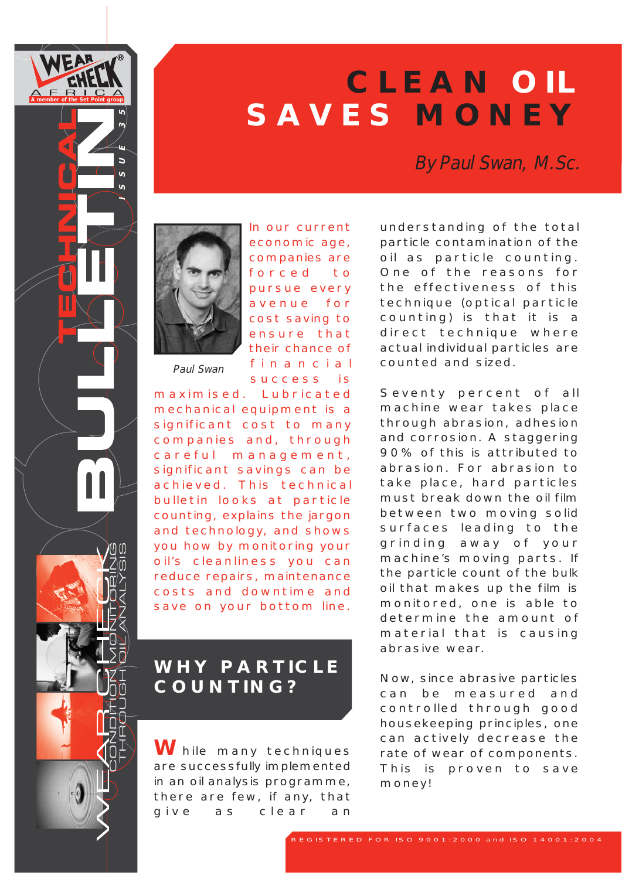

 $\overline{a}$  $\overline{a}$  $\mathbf{v}$ 

# **CLEAN OIL SAVES MONEY**

By Paul Swan, M.Sc.



Paul Swan

In our current economic age, companies are forced to pursue every avenue for cost saving to ensure that their chance of financial success is

maximised. Lubricated mechanical equipment is a significant cost to many companies and, through careful management, significant savings can be achieved. This technical bulletin looks at particle counting, explains the jargon and technology, and shows you how by monitoring your oil's cleanliness you can reduce repairs, maintenance costs and downtime and save on your bottom line.

# **WHY PARTICLE COUNTING?**

**W**hile many techniques are successfully implemented in an oil analysis programme, there are few, if any, that give as clear an

understanding of the total particle contamination of the oil as particle counting. One of the reasons for the effectiveness of this technique (optical particle counting) is that it is a direct technique where actual individual particles are counted and sized.

Seventy percent of all machine wear takes place through abrasion, adhesion and corrosion. A staggering 90% of this is attributed to abrasion. For abrasion to take place, hard particles must break down the oil film between two moving solid surfaces leading to the grinding away of your machine's moving parts. If the particle count of the bulk oil that makes up the film is monitored, one is able to determine the amount of material that is causing abrasive wear.

Now, since abrasive particles can be measured and controlled through good housekeeping principles, one can actively decrease the rate of wear of components. This is proven to save money!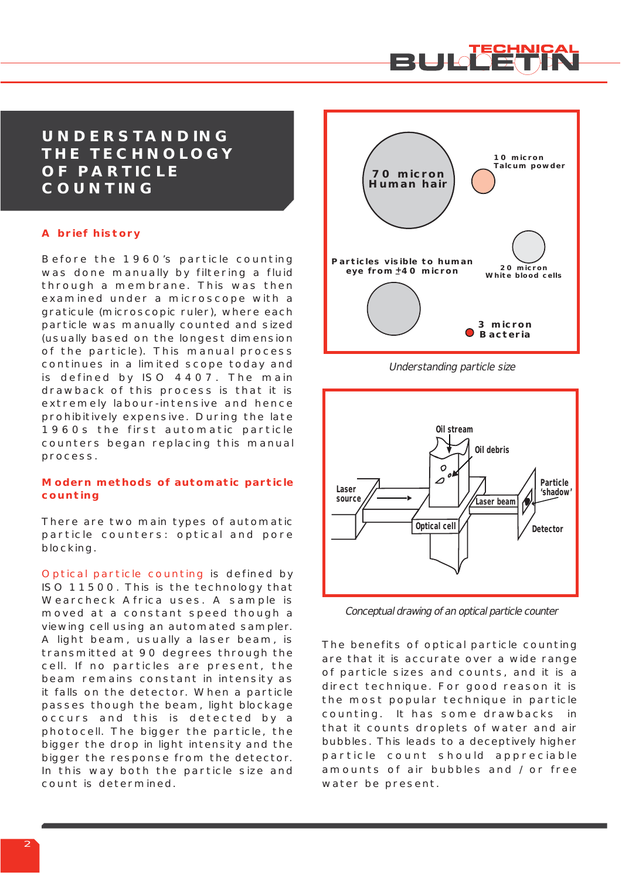

#### **UNDERSTANDING THE TECHNOLOGY OF PARTICLE COUNTING**

#### **A brief history**

Before the 1960's particle counting was done manually by filtering a fluid through a membrane. This was then examined under a microscope with a graticule (microscopic ruler), where each particle was manually counted and sized (usually based on the longest dimension of the particle). This manual process continues in a limited scope today and is defined by ISO 4407. The main drawback of this process is that it is extremely labour-intensive and hence prohibitively expensive. During the late 1960s the first automatic particle counters began replacing this manual process.

#### **Modern methods of automatic particle counting**

There are two main types of automatic particle counters: optical and pore blocking.

Optical particle counting is defined by ISO 11500. This is the technology that Wearcheck Africa uses. A sample is moved at a constant speed though a viewing cell using an automated sampler. A light beam, usually a laser beam, is transmitted at 90 degrees through the cell. If no particles are present, the beam remains constant in intensity as it falls on the detector. When a particle passes though the beam, light blockage occurs and this is detected by a photocell. The bigger the particle, the bigger the drop in light intensity and the bigger the response from the detector. In this way both the particle size and count is determined.



Understanding particle size



Conceptual drawing of an optical particle counter

The benefits of optical particle counting are that it is accurate over a wide range of particle sizes and counts, and it is a direct technique. For good reason it is the most popular technique in particle counting. It has some drawbacks in that it counts droplets of water and air bubbles. This leads to a deceptively higher particle count should appreciable amounts of air bubbles and / or free water be present.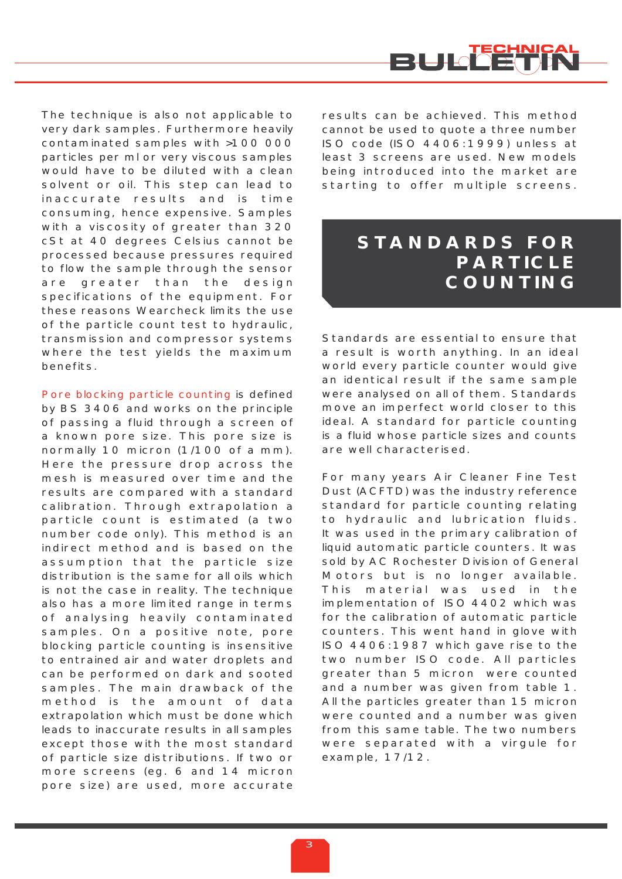

The technique is also not applicable to very dark samples. Furthermore heavily contaminated samples with >100 000 particles per ml or very viscous samples would have to be diluted with a clean solvent or oil. This step can lead to inaccurate results and is time consuming, hence expensive. Samples with a viscosity of greater than 320 cSt at 40 degrees Celsius cannot be processed because pressures required to flow the sample through the sensor are greater than the design specifications of the equipment. For these reasons Wearcheck limits the use of the particle count test to hydraulic, transmission and compressor systems where the test yields the maximum benefits.

Pore blocking particle counting is defined by BS 3406 and works on the principle of passing a fluid through a screen of a known pore size. This pore size is normally 10 micron (1/100 of a mm). Here the pressure drop across the mesh is measured over time and the results are compared with a standard calibration. Through extrapolation a particle count is estimated (a two number code only). This method is an indirect method and is based on the assumption that the particle size distribution is the same for all oils which is not the case in reality. The technique also has a more limited range in terms of analysing heavily contaminated samples. On a positive note, pore blocking particle counting is insensitive to entrained air and water droplets and can be performed on dark and sooted samples. The main drawback of the method is the amount of data extrapolation which must be done which leads to inaccurate results in all samples except those with the most standard of particle size distributions. If two or more screens (eg. 6 and 14 micron pore size) are used, more accurate results can be achieved. This method cannot be used to quote a three number ISO code (ISO 4406:1999) unless at least 3 screens are used. New models being introduced into the market are starting to offer multiple screens.

### **STANDARDS FOR PARTICLE COUNTING**

Standards are essential to ensure that a result is worth anything. In an ideal world every particle counter would give an identical result if the same sample were analysed on all of them. Standards move an imperfect world closer to this ideal. A standard for particle counting is a fluid whose particle sizes and counts are well characterised.

For many years Air Cleaner Fine Test Dust (ACFTD) was the industry reference standard for particle counting relating to hydraulic and lubrication fluids. It was used in the primary calibration of liquid automatic particle counters. It was sold by AC Rochester Division of General Motors but is no longer available. This material was used in the implementation of ISO 4402 which was for the calibration of automatic particle counters. This went hand in glove with ISO 4406:1987 which gave rise to the two number ISO code. All particles greater than 5 micron were counted and a number was given from table 1. All the particles greater than 15 micron were counted and a number was given from this same table. The two numbers were separated with a virgule for example, 17/12.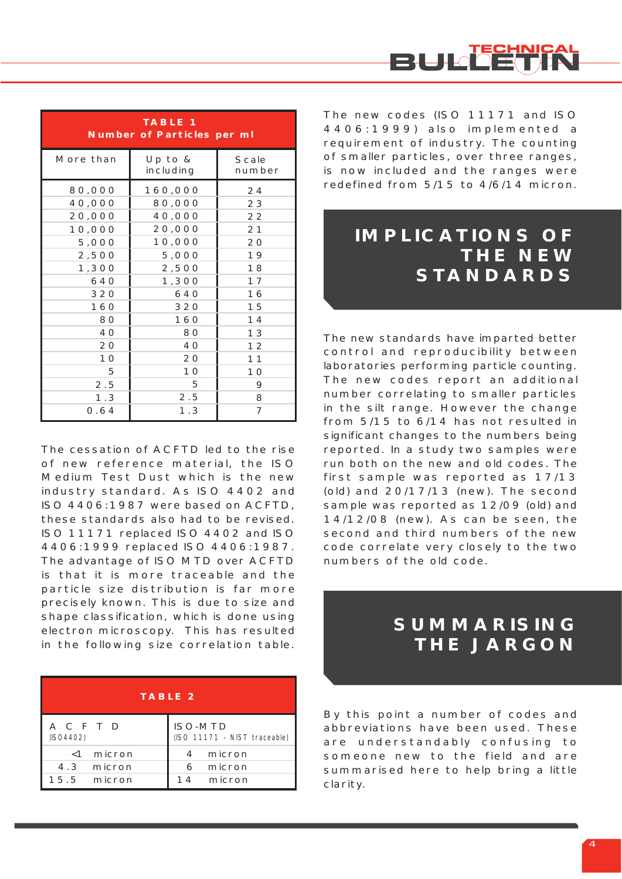

| <b>TABLE 1</b><br><b>Number of Particles per ml</b> |                        |                        |  |  |  |  |  |
|-----------------------------------------------------|------------------------|------------------------|--|--|--|--|--|
| More than                                           | Up to $&$<br>including | <b>Scale</b><br>number |  |  |  |  |  |
| 80,000                                              | 160,000                | 24                     |  |  |  |  |  |
| 40,000                                              | 80,000                 | 23                     |  |  |  |  |  |
| 20,000                                              | 40,000                 | 22                     |  |  |  |  |  |
| 10,000                                              | 20,000                 | 21                     |  |  |  |  |  |
| 5,000                                               | 10,000                 | 20                     |  |  |  |  |  |
| 2,500                                               | 5,000                  | 19                     |  |  |  |  |  |
| 1,300                                               | 2,500                  | 18                     |  |  |  |  |  |
| 640                                                 | 1,300                  | 17                     |  |  |  |  |  |
| 320                                                 | 640                    | 16                     |  |  |  |  |  |
| 160                                                 | 320                    | 15                     |  |  |  |  |  |
| 80                                                  | 160                    | 14                     |  |  |  |  |  |
| 40                                                  | 80                     | 13                     |  |  |  |  |  |
| 20                                                  | 40                     | 12                     |  |  |  |  |  |
| 10                                                  | 20                     | 11                     |  |  |  |  |  |
| 5                                                   | 1 <sub>O</sub>         | 10                     |  |  |  |  |  |
| 2.5                                                 | 5                      | 9                      |  |  |  |  |  |
| 1.3                                                 | 2.5                    | 8                      |  |  |  |  |  |
| O.64                                                | 1.3                    | 7                      |  |  |  |  |  |

The cessation of ACFTD led to the rise of new reference material, the ISO Medium Test Dust which is the new industry standard. As ISO 4402 and ISO 4406:1987 were based on ACFTD, these standards also had to be revised. ISO 11171 replaced ISO 4402 and ISO 4406:1999 replaced ISO 4406:1987. The advantage of ISO MTD over ACFTD is that it is more traceable and the particle size distribution is far more precisely known. This is due to size and shape classification, which is done using electron microscopy. This has resulted in the following size correlation table.

| <b>TABLE 2</b>                            |                                                |  |  |  |  |  |
|-------------------------------------------|------------------------------------------------|--|--|--|--|--|
| ACFTD<br>(ISO4402)                        | <b>ISO-MTD</b><br>(ISO 11171 - NIST traceable) |  |  |  |  |  |
| $<$ 1 micron<br>4.3 micron<br>15.5 micron | micron<br>4<br>6 micron<br>14 micron           |  |  |  |  |  |

The new codes (ISO 11171 and ISO 4406:1999) also implemented a requirement of industry. The counting of smaller particles, over three ranges, is now included and the ranges were redefined from 5/15 to 4/6/14 micron.

### **IMPLICATIONS OF THE NEW STANDARDS**

The new standards have imparted better control and reproducibility between laboratories performing particle counting. The new codes report an additional number correlating to smaller particles in the silt range. However the change from 5/15 to 6/14 has not resulted in significant changes to the numbers being reported. In a study two samples were run both on the new and old codes. The first sample was reported as 17/13 (old) and 20/17/13 (new). The second sample was reported as 12/09 (old) and 14/12/08 (new). As can be seen, the second and third numbers of the new code correlate very closely to the two numbers of the old code.

### **SUMMARISING THE JARGON**

By this point a number of codes and abbreviations have been used. These are understandably confusing to someone new to the field and are summarised here to help bring a little clarity.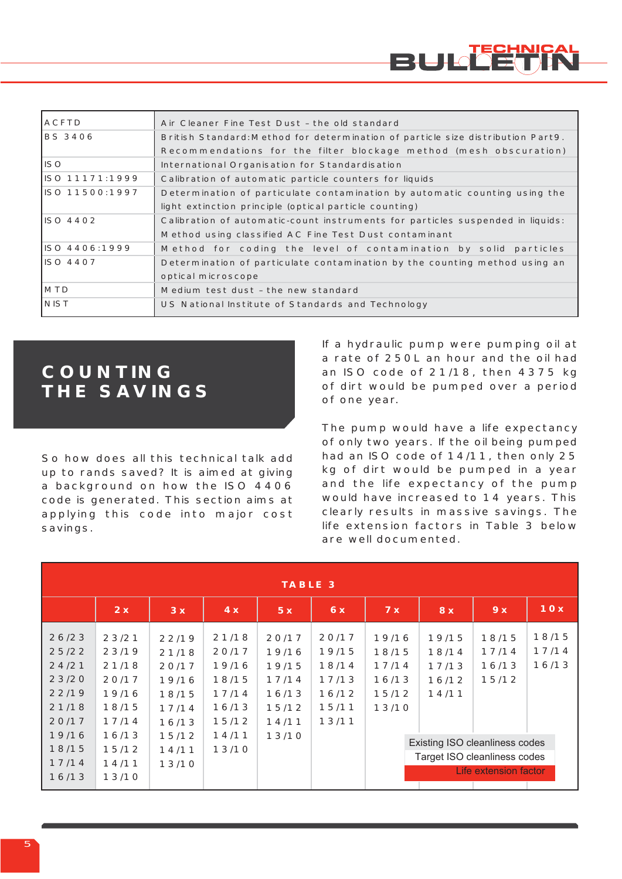

| <b>IACFTD</b>   | Air Cleaner Fine Test Dust - the old standard                                   |  |  |  |
|-----------------|---------------------------------------------------------------------------------|--|--|--|
| IBS 3406        | British Standard: Method for determination of particle size distribution Part9. |  |  |  |
|                 | Recommendations for the filter blockage method (mesh obscuration)               |  |  |  |
| liso            | International Organisation for Standardisation                                  |  |  |  |
| IISO 11171:1999 | Calibration of automatic particle counters for liquids                          |  |  |  |
| IISO 11500:1997 | Determination of particulate contamination by automatic counting using the      |  |  |  |
|                 | light extinction principle (optical particle counting)                          |  |  |  |
| IISO 4402       | Calibration of automatic-count instruments for particles suspended in liquids:  |  |  |  |
|                 | Method using classified AC Fine Test Dust contaminant                           |  |  |  |
| ISO 4406:1999   | Method for coding the level of contamination by solid particles                 |  |  |  |
| IISO 4407       | Determination of particulate contamination by the counting method using an      |  |  |  |
|                 | optical microscope                                                              |  |  |  |
| <b>IMTD</b>     | Medium test dust - the new standard                                             |  |  |  |
| <b>INIST</b>    | US National Institute of Standards and Technology                               |  |  |  |

### **COUNTING THE SAVINGS**

So how does all this technical talk add up to rands saved? It is aimed at giving a background on how the ISO 4406 code is generated. This section aims at applying this code into major cost savings.

If a hydraulic pump were pumping oil at a rate of 250L an hour and the oil had an ISO code of 21/18, then 4375 kg of dirt would be pumped over a period of one year.

The pump would have a life expectancy of only two years. If the oil being pumped had an ISO code of 14/11, then only 25 kg of dirt would be pumped in a year and the life expectancy of the pump would have increased to 14 years. This clearly results in massive savings. The life extension factors in Table 3 below are well documented.

| <b>TABLE 3</b>                                              |                                                             |                                                             |                                                             |                                                             |                                                             |                                                    |                                                                                         |                                  |                         |  |
|-------------------------------------------------------------|-------------------------------------------------------------|-------------------------------------------------------------|-------------------------------------------------------------|-------------------------------------------------------------|-------------------------------------------------------------|----------------------------------------------------|-----------------------------------------------------------------------------------------|----------------------------------|-------------------------|--|
|                                                             | 2x                                                          | 3x                                                          | 4x                                                          | 5x                                                          | 6x                                                          | 7x                                                 | 8x                                                                                      | 9x                               | 10x                     |  |
| 26/23<br>25/22<br>24/21<br>23/20<br>22/19<br>21/18<br>20/17 | 23/21<br>23/19<br>21/18<br>20/17<br>19/16<br>18/15<br>17/14 | 22/19<br>21/18<br>20/17<br>19/16<br>18/15<br>17/14<br>16/13 | 21/18<br>20/17<br>19/16<br>18/15<br>17/14<br>16/13<br>15/12 | 20/17<br>19/16<br>19/15<br>17/14<br>16/13<br>15/12<br>14/11 | 20/17<br>19/15<br>18/14<br>17/13<br>16/12<br>15/11<br>13/11 | 19/16<br>18/15<br>17/14<br>16/13<br>15/12<br>13/10 | 19/15<br>18/14<br>17/13<br>16/12<br>14/11                                               | 18/15<br>17/14<br>16/13<br>15/12 | 18/15<br>17/14<br>16/13 |  |
| 19/16<br>18/15<br>17/14<br>16/13                            | 16/13<br>15/12<br>14/11<br>13/10                            | 15/12<br>14/11<br>13/10                                     | 14/11<br>13/10                                              | 13/10                                                       |                                                             |                                                    | Existing ISO cleanliness codes<br>Target ISO cleanliness codes<br>Life extension factor |                                  |                         |  |